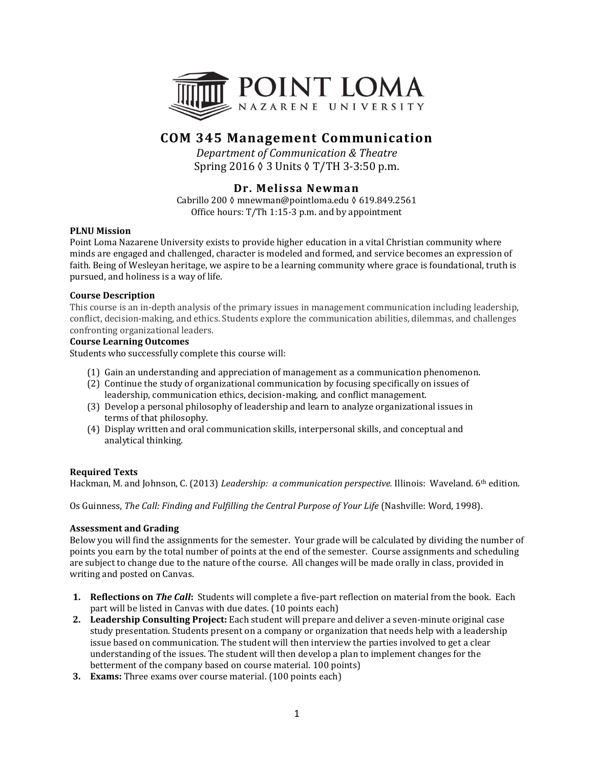

# **COM 345 Management Communication**

*Department of Communication & Theatre* Spring 2016 ◊ 3 Units ◊ T/TH 3-3:50 p.m.

## **Dr. Melissa Newman**

Cabrillo 200 ◊ mnewman@pointloma.edu ◊ 619.849.2561 Office hours: T/Th 1:15-3 p.m. and by appointment

### **PLNU Mission**

Point Loma Nazarene University exists to provide higher education in a vital Christian community where minds are engaged and challenged, character is modeled and formed, and service becomes an expression of faith. Being of Wesleyan heritage, we aspire to be a learning community where grace is foundational, truth is pursued, and holiness is a way of life.

### **Course Description**

This course is an in-depth analysis of the primary issues in management communication including leadership, conflict, decision-making, and ethics. Students explore the communication abilities, dilemmas, and challenges confronting organizational leaders.

### **Course Learning Outcomes**

Students who successfully complete this course will:

- (1) Gain an understanding and appreciation of management as a communication phenomenon.
- (2) Continue the study of organizational communication by focusing specifically on issues of leadership, communication ethics, decision-making, and conflict management.
- (3) Develop a personal philosophy of leadership and learn to analyze organizational issues in terms of that philosophy.
- (4) Display written and oral communication skills, interpersonal skills, and conceptual and analytical thinking.

### **Required Texts**

Hackman, M. and Johnson, C. (2013) *Leadership: a communication perspective.* Illinois: Waveland. 6<sup>th</sup> edition.

Os Guinness, *The Call: Finding and Fulfilling the Central Purpose of Your Life* (Nashville: Word, 1998).

### **Assessment and Grading**

Below you will find the assignments for the semester. Your grade will be calculated by dividing the number of points you earn by the total number of points at the end of the semester. Course assignments and scheduling are subject to change due to the nature of the course. All changes will be made orally in class, provided in writing and posted on Canvas.

- **1. Reflections on** *The Call***:** Students will complete a five-part reflection on material from the book. Each part will be listed in Canvas with due dates. (10 points each)
- **2. Leadership Consulting Project:** Each student will prepare and deliver a seven-minute original case study presentation. Students present on a company or organization that needs help with a leadership issue based on communication. The student will then interview the parties involved to get a clear understanding of the issues. The student will then develop a plan to implement changes for the betterment of the company based on course material. 100 points)
- **3. Exams:** Three exams over course material. (100 points each)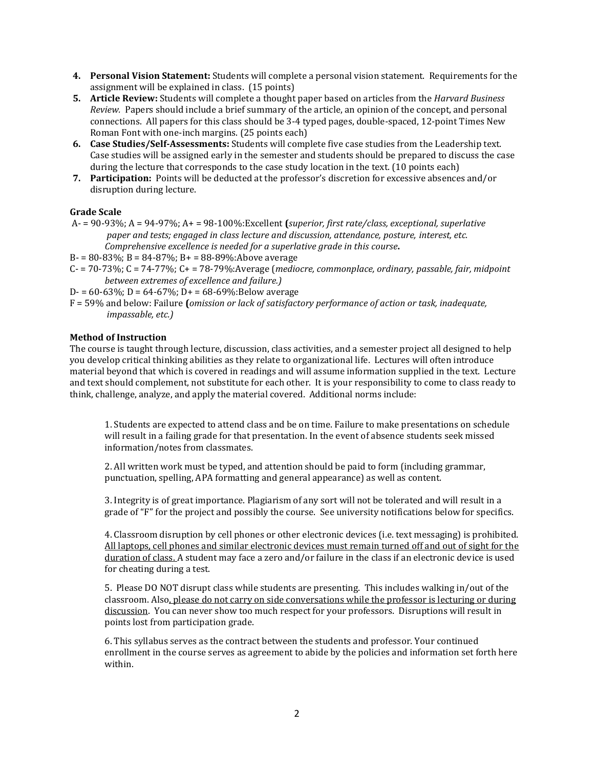- **4. Personal Vision Statement:** Students will complete a personal vision statement. Requirements for the assignment will be explained in class. (15 points)
- **5. Article Review:** Students will complete a thought paper based on articles from the *Harvard Business Review.* Papers should include a brief summary of the article, an opinion of the concept, and personal connections. All papers for this class should be 3-4 typed pages, double-spaced, 12-point Times New Roman Font with one-inch margins. (25 points each)
- **6. Case Studies/Self-Assessments:** Students will complete five case studies from the Leadership text. Case studies will be assigned early in the semester and students should be prepared to discuss the case during the lecture that corresponds to the case study location in the text. (10 points each)
- **7. Participation:** Points will be deducted at the professor's discretion for excessive absences and/or disruption during lecture.

### **Grade Scale**

A- = 90-93%; A = 94-97%; A+ = 98-100%:Excellent **(***superior, first rate/class, exceptional, superlative paper and tests; engaged in class lecture and discussion, attendance, posture, interest, etc. Comprehensive excellence is needed for a superlative grade in this course***.**

B- = 80-83%; B = 84-87%; B+ = 88-89%:Above average

- C- = 70-73%; C = 74-77%; C+ = 78-79%:Average (*mediocre, commonplace, ordinary, passable, fair, midpoint between extremes of excellence and failure.)*
- D- =  $60-63\%$ ; D =  $64-67\%$ ; D+ =  $68-69\%$ : Below average
- F = 59% and below: Failure **(***omission or lack of satisfactory performance of action or task, inadequate, impassable, etc.)*

### **Method of Instruction**

The course is taught through lecture, discussion, class activities, and a semester project all designed to help you develop critical thinking abilities as they relate to organizational life. Lectures will often introduce material beyond that which is covered in readings and will assume information supplied in the text. Lecture and text should complement, not substitute for each other. It is your responsibility to come to class ready to think, challenge, analyze, and apply the material covered. Additional norms include:

1. Students are expected to attend class and be on time. Failure to make presentations on schedule will result in a failing grade for that presentation. In the event of absence students seek missed information/notes from classmates.

2. All written work must be typed, and attention should be paid to form (including grammar, punctuation, spelling, APA formatting and general appearance) as well as content.

3. Integrity is of great importance. Plagiarism of any sort will not be tolerated and will result in a grade of "F" for the project and possibly the course. See university notifications below for specifics.

4. Classroom disruption by cell phones or other electronic devices (i.e. text messaging) is prohibited. All laptops, cell phones and similar electronic devices must remain turned off and out of sight for the duration of class. A student may face a zero and/or failure in the class if an electronic device is used for cheating during a test.

5. Please DO NOT disrupt class while students are presenting. This includes walking in/out of the classroom. Also, please do not carry on side conversations while the professor is lecturing or during discussion. You can never show too much respect for your professors. Disruptions will result in points lost from participation grade.

6. This syllabus serves as the contract between the students and professor. Your continued enrollment in the course serves as agreement to abide by the policies and information set forth here within.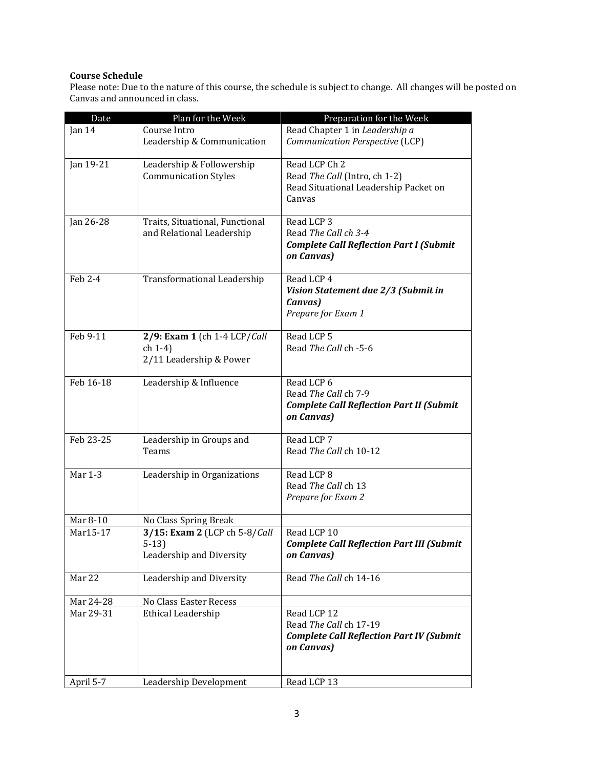### **Course Schedule**

Please note: Due to the nature of this course, the schedule is subject to change. All changes will be posted on Canvas and announced in class.

| Date        | Plan for the Week                  | Preparation for the Week                                                  |
|-------------|------------------------------------|---------------------------------------------------------------------------|
| Jan 14      | Course Intro                       | Read Chapter 1 in Leadership a                                            |
|             | Leadership & Communication         | Communication Perspective (LCP)                                           |
| Jan $19-21$ | Leadership & Followership          | Read LCP Ch 2                                                             |
|             | <b>Communication Styles</b>        | Read The Call (Intro, ch 1-2)                                             |
|             |                                    | Read Situational Leadership Packet on                                     |
|             |                                    | Canvas                                                                    |
| Jan 26-28   | Traits, Situational, Functional    | Read LCP 3                                                                |
|             | and Relational Leadership          | Read The Call ch 3-4                                                      |
|             |                                    | <b>Complete Call Reflection Part I (Submit</b><br>on Canvas)              |
| Feb 2-4     | Transformational Leadership        | Read LCP 4                                                                |
|             |                                    | Vision Statement due 2/3 (Submit in                                       |
|             |                                    | Canvas)<br>Prepare for Exam 1                                             |
|             |                                    |                                                                           |
| Feb 9-11    | 2/9: Exam 1 (ch 1-4 LCP/Call       | Read LCP 5                                                                |
|             | $ch(1-4)$                          | Read The Call ch -5-6                                                     |
|             | 2/11 Leadership & Power            |                                                                           |
| Feb 16-18   | Leadership & Influence             | Read LCP 6                                                                |
|             |                                    | Read The Call ch 7-9                                                      |
|             |                                    | <b>Complete Call Reflection Part II (Submit</b><br>on Canvas)             |
| Feb 23-25   | Leadership in Groups and           | Read LCP 7                                                                |
|             | Teams                              | Read The Call ch 10-12                                                    |
| Mar 1-3     | Leadership in Organizations        | Read LCP 8                                                                |
|             |                                    | Read The Call ch 13                                                       |
|             |                                    | Prepare for Exam 2                                                        |
| Mar 8-10    | No Class Spring Break              |                                                                           |
| Mar15-17    | 3/15: Exam 2 (LCP ch 5-8/Call      | Read LCP 10                                                               |
|             | $5-13$<br>Leadership and Diversity | <b>Complete Call Reflection Part III (Submit</b><br>on Canvas)            |
|             |                                    |                                                                           |
| Mar 22      | Leadership and Diversity           | Read The Call ch 14-16                                                    |
| Mar 24-28   | No Class Easter Recess             |                                                                           |
| Mar 29-31   | Ethical Leadership                 | Read LCP 12                                                               |
|             |                                    | Read The Call ch 17-19<br><b>Complete Call Reflection Part IV (Submit</b> |
|             |                                    | on Canvas)                                                                |
|             |                                    |                                                                           |
| April 5-7   | Leadership Development             | Read LCP 13                                                               |
|             |                                    |                                                                           |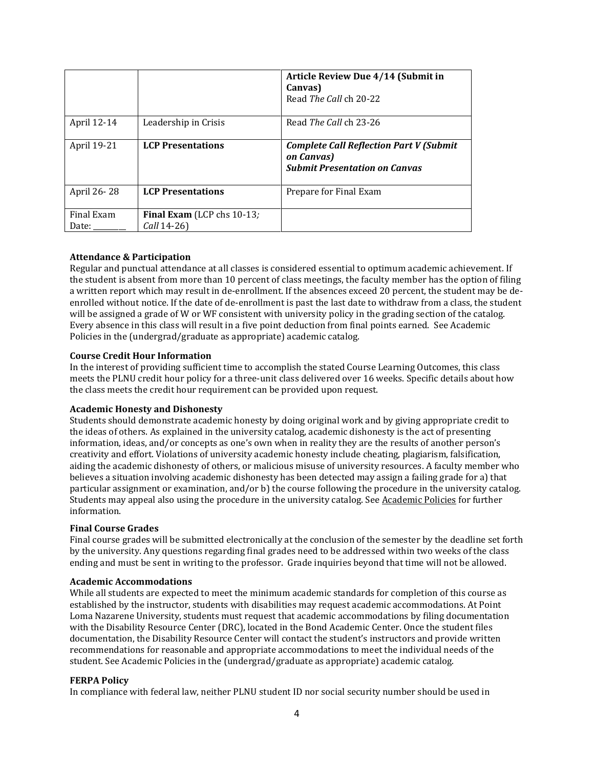|                     |                                           | Article Review Due 4/14 (Submit in<br>Canvas)<br>Read The Call ch 20-22                              |
|---------------------|-------------------------------------------|------------------------------------------------------------------------------------------------------|
| April 12-14         | Leadership in Crisis                      | Read The Call ch 23-26                                                                               |
| April 19-21         | <b>LCP Presentations</b>                  | <b>Complete Call Reflection Part V (Submit</b><br>on Canvas)<br><b>Submit Presentation on Canvas</b> |
| April 26-28         | <b>LCP Presentations</b>                  | Prepare for Final Exam                                                                               |
| Final Exam<br>Date: | Final Exam (LCP chs 10-13;<br>Call 14-26) |                                                                                                      |

### **Attendance & Participation**

Regular and punctual attendance at all classes is considered essential to optimum academic achievement. If the student is absent from more than 10 percent of class meetings, the faculty member has the option of filing a written report which may result in de-enrollment. If the absences exceed 20 percent, the student may be deenrolled without notice. If the date of de-enrollment is past the last date to withdraw from a class, the student will be assigned a grade of W or WF consistent with university policy in the grading section of the catalog. Every absence in this class will result in a five point deduction from final points earned. See Academic Policies in the (undergrad/graduate as appropriate) academic catalog.

#### **Course Credit Hour Information**

In the interest of providing sufficient time to accomplish the stated Course Learning Outcomes, this class meets the PLNU credit hour policy for a three-unit class delivered over 16 weeks. Specific details about how the class meets the credit hour requirement can be provided upon request.

#### **Academic Honesty and Dishonesty**

Students should demonstrate academic honesty by doing original work and by giving appropriate credit to the ideas of others. As explained in the university catalog, academic dishonesty is the act of presenting information, ideas, and/or concepts as one's own when in reality they are the results of another person's creativity and effort. Violations of university academic honesty include cheating, plagiarism, falsification, aiding the academic dishonesty of others, or malicious misuse of university resources. A faculty member who believes a situation involving academic dishonesty has been detected may assign a failing grade for a) that particular assignment or examination, and/or b) the course following the procedure in the university catalog. Students may appeal also using the procedure in the university catalog. See [Academic Policies](http://www.pointloma.edu/experience/academics/catalogs/undergraduate-catalog/point-loma-education/academic-policies) for further information.

#### **Final Course Grades**

Final course grades will be submitted electronically at the conclusion of the semester by the deadline set forth by the university. Any questions regarding final grades need to be addressed within two weeks of the class ending and must be sent in writing to the professor. Grade inquiries beyond that time will not be allowed.

### **Academic Accommodations**

While all students are expected to meet the minimum academic standards for completion of this course as established by the instructor, students with disabilities may request academic accommodations. At Point Loma Nazarene University, students must request that academic accommodations by filing documentation with the Disability Resource Center (DRC), located in the Bond Academic Center. Once the student files documentation, the Disability Resource Center will contact the student's instructors and provide written recommendations for reasonable and appropriate accommodations to meet the individual needs of the student. See Academic Policies in the (undergrad/graduate as appropriate) academic catalog.

#### **FERPA Policy**

In compliance with federal law, neither PLNU student ID nor social security number should be used in